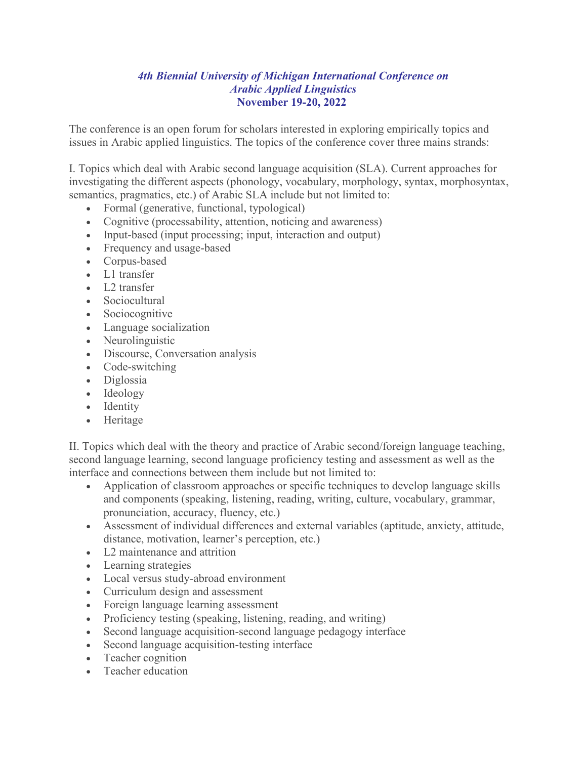# *4th Biennial University of Michigan International Conference on Arabic Applied Linguistics* **November 19-20, 2022**

The conference is an open forum for scholars interested in exploring empirically topics and issues in Arabic applied linguistics. The topics of the conference cover three mains strands:

I. Topics which deal with Arabic second language acquisition (SLA). Current approaches for investigating the different aspects (phonology, vocabulary, morphology, syntax, morphosyntax, semantics, pragmatics, etc.) of Arabic SLA include but not limited to:

- Formal (generative, functional, typological)
- Cognitive (processability, attention, noticing and awareness)
- Input-based (input processing; input, interaction and output)
- Frequency and usage-based
- Corpus-based
- L1 transfer
- L<sub>2</sub> transfer
- Sociocultural
- Sociocognitive
- Language socialization
- Neurolinguistic
- Discourse, Conversation analysis
- Code-switching
- Diglossia
- Ideology
- Identity
- Heritage

II. Topics which deal with the theory and practice of Arabic second/foreign language teaching, second language learning, second language proficiency testing and assessment as well as the interface and connections between them include but not limited to:

- Application of classroom approaches or specific techniques to develop language skills and components (speaking, listening, reading, writing, culture, vocabulary, grammar, pronunciation, accuracy, fluency, etc.)
- Assessment of individual differences and external variables (aptitude, anxiety, attitude, distance, motivation, learner's perception, etc.)
- L2 maintenance and attrition
- Learning strategies
- Local versus study-abroad environment
- Curriculum design and assessment
- Foreign language learning assessment
- Proficiency testing (speaking, listening, reading, and writing)
- Second language acquisition-second language pedagogy interface
- Second language acquisition-testing interface
- Teacher cognition
- Teacher education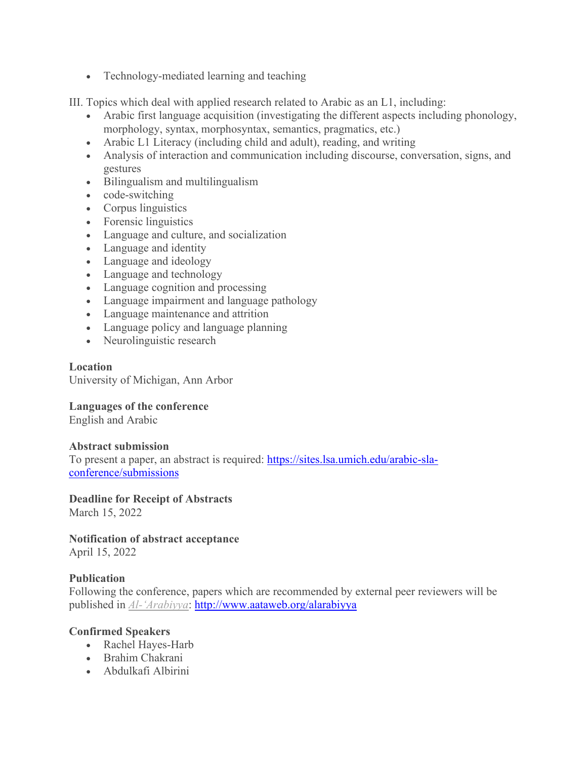• Technology-mediated learning and teaching

III. Topics which deal with applied research related to Arabic as an L1, including:

- Arabic first language acquisition (investigating the different aspects including phonology, morphology, syntax, morphosyntax, semantics, pragmatics, etc.)
- Arabic L1 Literacy (including child and adult), reading, and writing
- Analysis of interaction and communication including discourse, conversation, signs, and gestures
- Bilingualism and multilingualism
- code-switching
- Corpus linguistics
- Forensic linguistics
- Language and culture, and socialization
- Language and identity
- Language and ideology
- Language and technology
- Language cognition and processing
- Language impairment and language pathology
- Language maintenance and attrition
- Language policy and language planning
- Neurolinguistic research

# **Location**

University of Michigan, Ann Arbor

**Languages of the conference**

English and Arabic

# **Abstract submission**

To present a paper, an abstract is required: [https://sites.lsa.umich.edu/arabic-sla](https://sites.lsa.umich.edu/arabic-sla-conference/submissions)[conference/submissions](https://sites.lsa.umich.edu/arabic-sla-conference/submissions)

**Deadline for Receipt of Abstracts** March 15, 2022

**Notification of abstract acceptance** April 15, 2022

# **Publication**

Following the conference, papers which are recommended by external peer reviewers will be published in *[Al-'Arabiyya](http://www.aataweb.org/alarabiyya)*:<http://www.aataweb.org/alarabiyya>

# **Confirmed Speakers**

- Rachel Hayes-Harb
- Brahim Chakrani
- Abdulkafi Albirini